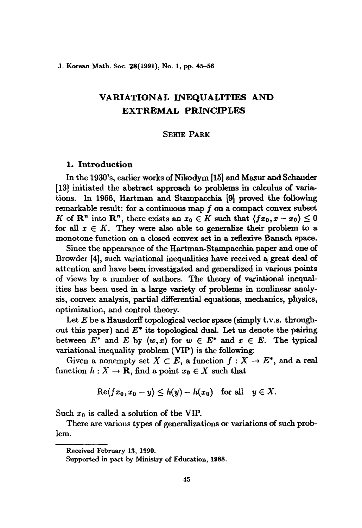### J. Korean Math. Soc. 28(1991), No. 1, pp. 45-56

# VARIATIONAL INEQUALITIES AND EXTREMAL PRlNCIPLES

# SEHIE PARK

# 1. Introduction

In the 1930's, earlier works of Nikodym [15] and Mazur and Schauder [13] initiated the abstract approach to problems in calculus of variations. In 1966, Hartman and Stampacchia [9] proved the following remarkable result: for a continuous map f on a compact convex subset *K* of  $\mathbb{R}^n$  into  $\mathbb{R}^n$ , there exists an  $x_0 \in K$  such that  $\langle fx_0, x - x_0 \rangle \leq 0$ for all  $x \in K$ . They were also able to generalize their problem to a monotone function on a closed convex set in a reflexive Banach space.

Since the appearance of the Hartman-Stampacchia paper and one of Browder [4], such variational inequalities have received a great deal of attention and have been investigated and generalized in various points of views by a number of authors. The theory of variational inequalities has been used in a large variety of problems in nonlinear analysis, convex analysis, partial differential equations, mechanics, physics, optimization, and control theory.

Let  $E$  be a Hausdorff topological vector space (simply t.v.s. throughout this paper) and  $E^*$  its topological dual. Let us denote the pairing between  $E^*$  and  $E$  by  $\langle w, x \rangle$  for  $w \in E^*$  and  $x \in E$ . The typical variational inequality problem (VIP) is the following:

Given a nonempty set  $X \subset E$ , a function  $f : X \to E^*$ , and a real function  $h: X \to \mathbf{R}$ , find a point  $x_0 \in X$  such that

$$
\mathrm{Re}\langle fx_0, x_0 - y \rangle \leq h(y) - h(x_0) \quad \text{for all} \quad y \in X.
$$

Such  $x_0$  is called a solution of the VIP.

There are various types of generalizations or variations of such problem.

Received February 13, 1990.

Supported in part by Ministry of Education, 1988.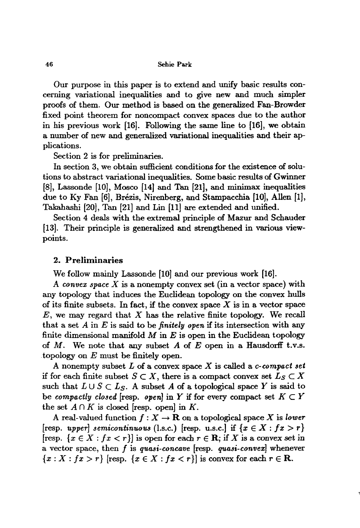Our purpose in this paper is to extend and unify basic results concerning variational inequalities and to give new and much simpler proofs of them. Our method is based on the generalized Fan-Browder fixed point theorem for noncompact convex spaces due to the author in his previous work [16]. Following the same line to [16], we obtain a number of new and generalized variational inequalities and their applications.

Section 2 is for preliminaries.

In section 3, we obtain sufficient conditions for the existence of solutions to abstract variational inequalities. Some basic results of Gwinner [8], Lassonde [10], Mosco [14] and Tan [21], and minimax inequalities due to Ky Fan [6], Brézis, Nirenberg, and Stampacchia [10], Allen [1], Takahashi [20], Tan [21J and Lin [11] are extended and unified.

Section 4 deals with the extremal principle of Mazur and Schauder [13]. Their principle is generalized and strengthened in various viewpoints.

### 2. Preliminaries

We follow mainly Lassonde [10] and our previous work [16].

A *convex space X* is a nonempty convex set (in a vector space) with any topology that induces the Euclidean topology on the convex hulls of its finite subsets. In fact, if the convex space  $X$  is in a vector space  $E$ , we may regard that  $X$  has the relative finite topology. We recall that a set A in E is said to be *finitely open* if its intersection with any finite dimensional manifold  $M$  in  $E$  is open in the Euclidean topology of  $M$ . We note that any subset  $A$  of  $E$  open in a Hausdorff t.v.s. .topology on *E* must be finitely open.

A nonempty subset *L* of a convex space *X* is called a *c-compact set* if for each finite subset  $S \subset X$ , there is a compact convex set  $L_S \subset X$ such that  $L \cup S \subset L_S$ . A subset A of a topological space Y is said to be *compactly closed* [resp. *open*] in Y if for every compact set  $K \subset Y$ the set  $A \cap K$  is closed [resp. open] in K.

A real-valued function  $f: X \to \mathbf{R}$  on a topological space X is *lower* [resp. *upper*] *semicontinuous* (l.s.c.) [resp. u.s.c.] if  $\{x \in X : fx > r\}$ [resp.  $\{x \in X : fx < r\}$ ] is open for each  $r \in \mathbb{R}$ ; if X is a convex set in a vector space, then *I* is *quasi-concave* [resp. *quasi-convex]* whenever  ${x: X : f x > r}$  [resp.  ${x \in X : f x < r}$ ] is convex for each  $r \in \mathbb{R}$ .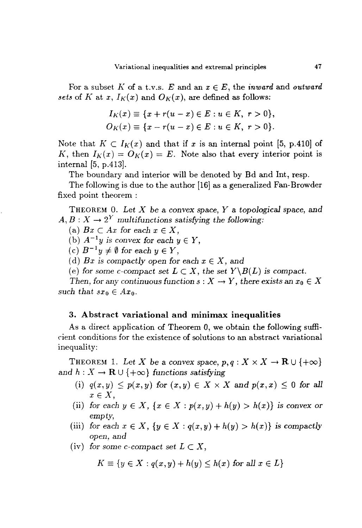For a subset K of a t.v.s. E and an  $x \in E$ , the *inward* and *outward* sets of K at *x*,  $I_K(x)$  and  $O_K(x)$ , are defined as follows:

$$
I_K(x) \equiv \{x + r(u - x) \in E : u \in K, r > 0\},\,
$$
  

$$
O_K(x) \equiv \{x - r(u - x) \in E : u \in K, r > 0\}.
$$

Note that  $K \subset I_K(x)$  and that if x is an internal point [5, p.410] of *K*, then  $I_K(x) = O_K(x) = E$ . Note also that every interior point is internal  $[5, p.413]$ .

The boundary and interior will be denoted by Bd and Int, resp.

The following is due to the author  $[16]$  as a generalized Fan-Browder fixed point theorem :

THEOREM O. *Let X* be a convex space, *Y* a *topological* space, and  $A, B: X \to 2^Y$  *multifunctions satisfying the following*:

(a)  $Bx \subset Ax$  for each  $x \in X$ ,

(b)  $A^{-1}y$  *is convex for each*  $y \in Y$ ,

(c)  $B^{-1}y \neq \emptyset$  for each  $y \in Y$ ,

(d) Bx is compactly open for each  $x \in X$ , and

(e) for some c-compact set  $L \subset X$ , the set  $Y\setminus B(L)$  is compact.

*Then,* for any continuous function  $s: X \to Y$ , there exists an  $x_0 \in X$ *such that*  $sx_0 \in Ax_0$ .

# 3. Abstract variational and minimax inequalities

As a direct application of Theorem 0, we obtain the following sufficient conditions for the existence of solutions to an abstract variational inequality:

THEOREM 1. Let *X* be a convex space,  $p, q: X \times X \to \mathbf{R} \cup \{+\infty\}$ and  $h: X \to \mathbf{R} \cup \{+\infty\}$  functions satisfying

- (i)  $q(x,y) \leq p(x,y)$  for  $(x,y) \in X \times X$  and  $p(x,x) \leq 0$  for all  $x \in X$ ,
- (ii) for each  $y \in X$ ,  $\{x \in X : p(x, y) + h(y) > h(x)\}$  is convex or *empty,*
- (iii) for each  $x \in X$ ,  $\{y \in X : q(x, y) + h(y) > h(x)\}$  is compactly *open,* and
- (iv) for some *c*-compact set  $L \subset X$ ,

$$
K \equiv \{ y \in X : q(x, y) + h(y) \le h(x) \text{ for all } x \in L \}
$$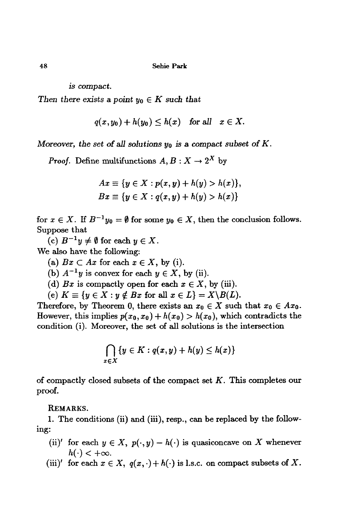*is* compact.

*Then there exists a point*  $y_0 \in K$  *such that* 

 $q(x,y_0)+h(y_0) \leq h(x)$  *for all*  $x \in X$ .

*Moreover, tbe set* of *all solutions Yo is* a. compact *subset* of *K.*

*Proof.* Define multifunctions  $A, B: X \to 2^X$  by

$$
Ax \equiv \{y \in X : p(x, y) + h(y) > h(x)\},\
$$
  

$$
Bx \equiv \{y \in X : q(x, y) + h(y) > h(x)\}\
$$

for  $x \in X$ . If  $B^{-1}y_0 = \emptyset$  for some  $y_0 \in X$ , then the conclusion follows. Suppose that

(c)  $B^{-1}y \neq \emptyset$  for each  $y \in X$ .

We also have the following:

(a)  $Bx \subset Ax$  for each  $x \in X$ , by (i).

(b)  $A^{-1}y$  is convex for each  $y \in X$ , by (ii).

(d)  $Bx$  is compactly open for each  $x \in X$ , by (iii).

(e)  $K \equiv \{y \in X : y \notin Bx \text{ for all } x \in L\} = X\backslash B(L).$ 

Therefore, by Theorem 0, there exists an  $x_0 \in X$  such that  $x_0 \in Ax_0$ . However, this implies  $p(x_0, x_0) + h(x_0) > h(x_0)$ , which contradicts the condition (i). Moreover, the set of all solutions is the intersection

$$
\bigcap_{x\in X} \{y\in K: q(x,y)+h(y)\leq h(x)\}
$$

of compactly closed subsets of the compact set  $K$ . This completes our proof.

REMARKS.

1. The conditions (ii) and (iii), resp., can be replaced by the following:

- (ii)' for each  $y \in X$ ,  $p(\cdot, y) h(\cdot)$  is quasiconcave on X whenever  $h(\cdot) < +\infty$ .
- (iii)' for each  $x \in X$ ,  $q(x, \cdot) + h(\cdot)$  is l.s.c. on compact subsets of X.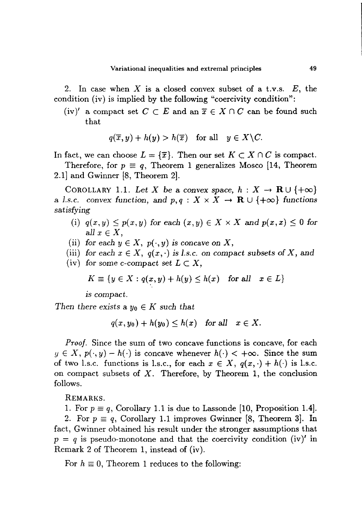2. In case when  $X$  is a closed convex subset of a t.v.s.  $E$ , the condition (iv) is implied by the following "coercivity condition":

(iv)' a compact set  $C \subset E$  and an  $\overline{x} \in X \cap C$  can be found such that

$$
q(\overline{x}, y) + h(y) > h(\overline{x}) \quad \text{for all} \quad y \in X \backslash C.
$$

In fact, we can choose  $L = {\overline{x}}$ . Then our set  $K \subset X \cap C$  is compact.

Therefore, for  $p \equiv q$ , Theorem 1 generalizes Mosco [14, Theorem 2.1J and Gwinner [8, Theorem 2].

COROLLARY 1.1. Let X be a convex space,  $h: X \to \mathbf{R} \cup \{+\infty\}$ a *l.s.c.* convex function, and  $p, q: X \times X \rightarrow \mathbb{R} \cup \{+\infty\}$  functions *satisfying*

- (i)  $q(x, y) \leq p(x, y)$  for each  $(x, y) \in X \times X$  and  $p(x, x) \leq 0$  for  $all x \in X$ ,
- (ii) for each  $y \in X$ ,  $p(\cdot, y)$  is concave on X,
- (iii) for each  $x \in X$ ,  $q(x, \cdot)$  is *l.s.c.* on compact subsets of X, and
- (iv) for some *c*-compact set  $L \subset X$ ,

$$
K \equiv \{ y \in X : q(x, y) + h(y) \le h(x) \text{ for all } x \in L \}
$$

*is compact.*

*Then there exists* a  $y_0 \in K$  *such that* 

$$
q(x,y_0)+h(y_0)\leq h(x) \quad \text{for all} \quad x\in X.
$$

*Proof.* Since the sum of two concave functions is concave, for each  $y \in X$ ,  $p(\cdot, y) - h(\cdot)$  is concave whenever  $h(\cdot) < +\infty$ . Since the sum of two l.s.c. functions is l.s.c., for each  $x \in X$ ,  $q(x, \cdot) + h(\cdot)$  is l.s.c. on compact subsets of  $X$ . Therefore, by Theorem 1, the conclusion follows.

REMARKS.

1. For  $p \equiv q$ , Corollary 1.1 is due to Lassonde [10, Proposition 1.4].

2. For  $p \equiv q$ , Corollary 1.1 improves Gwinner [8, Theorem 3]. In fact, Gwinner obtained his result under the stronger assumptions that  $p = q$  is pseudo-monotone and that the coercivity condition (iv) in Remark 2 of Theorem 1, instead of (iv).

For  $h \equiv 0$ , Theorem 1 reduces to the following: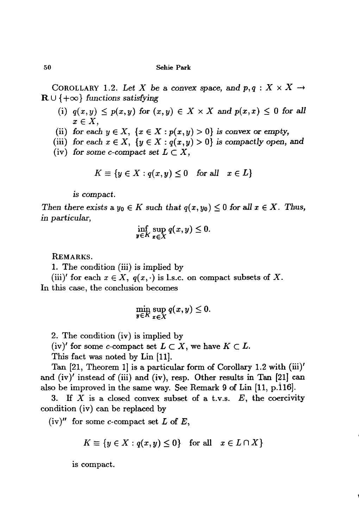### 50 Sehie Park

COROLLARY 1.2. Let X be a convex space, and  $p, q: X \times X \rightarrow$  $\mathbf{R} \cup \{+\infty\}$  *functions satisfying* 

- (i)  $q(x,y) \leq p(x,y)$  for  $(x,y) \in X \times X$  and  $p(x,x) \leq 0$  for all  $x \in X$ ,
- (ii) for each  $y \in X$ ,  $\{x \in X : p(x, y) > 0\}$  is convex or empty,
- (iii) for each  $x \in X$ ,  $\{y \in X : q(x,y) > 0\}$  is compactly open, and
- (iv) for *some* c-compact *set*  $L \subset X$ ,

$$
K \equiv \{y \in X : q(x, y) \le 0 \quad \text{for all} \quad x \in L\}
$$

is compact.

*Then there exists* a  $y_0 \in K$  *such that*  $q(x, y_0) \leq 0$  *for* all  $x \in X$ . *Thus,* in *particular,*

$$
\inf_{y\in K}\sup_{x\in X}q(x,y)\leq 0.
$$

REMARKS.

1. The condition (iii) is implied by

(iii)' for each  $x \in X$ ,  $q(x, \cdot)$  is l.s.c. on compact subsets of X. In this case, the conclusion becomes

$$
\min_{\mathbf{y}\in K}\sup_{x\in X}q(x,y)\leq 0.
$$

2. The condition (iv) is implied by

(iv)' for some c-compact set  $L \subset X$ , we have  $K \subset L$ .

This fact was noted by Lin [11].

Tan  $[21,$  Theorem 1 is a particular form of Corollary 1.2 with  $(iii)'$ and (iv)' instead of (iii) and (iv), resp. Other results in Tan [21] can also be improved in the same way. See Remark 9 of Lin [11, p.116].

3. If  $X$  is a closed convex subset of a t.v.s.  $E$ , the coercivity condition (iv) can be replaced by

 $(iv)''$  for some *c*-compact set *L* of *E*,

$$
K \equiv \{ y \in X : q(x, y) \le 0 \} \quad \text{for all} \quad x \in L \cap X \}
$$

is compact.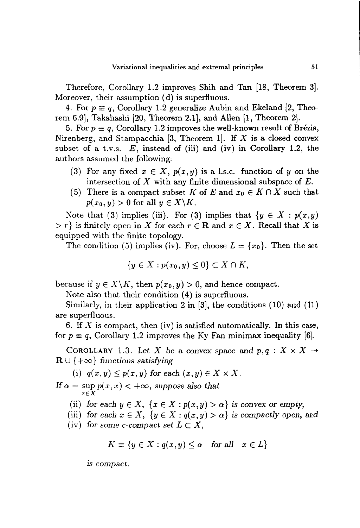Therefore, Corollary 1.2 improves Shih and Tan [18, Theorem 3]. Moreover, their assumption (d) is superfluous.

4. For  $p \equiv q$ , Corollary 1.2 generalize Aubin and Ekeland [2, Theorem 6.9], Takahashi [20, Theorem 2.1], and Allen [1, Theorem 2].

5. For  $p \equiv q$ , Corollary 1.2 improves the well-known result of Brézis, Nirenberg, and Stampacchia [3, Theorem 1]. If  $X$  is a closed convex subset of a t.v.s.  $E$ , instead of (iii) and (iv) in Corollary 1.2, the authors assumed the following:

- (3) For any fixed  $x \in X$ ,  $p(x, y)$  is a l.s.c. function of y on the intersection of  $X$  with any finite dimensional subspace of  $E$ .
- (5) There is a compact subset *K* of *E* and  $x_0 \\in K \\cap X$  such that  $p(x_0, y) > 0$  for all  $y \in X \backslash K$ .

Note that (3) implies (iii). For (3) implies that  ${y \in X : p(x,y)}$  $> r$  is finitely open in X for each  $r \in \mathbb{R}$  and  $x \in X$ . Recall that X is equipped with the finite topology.

The condition (5) implies (iv). For, choose  $L = \{x_0\}$ . Then the set

$$
\{y\in X:p(x_0,y)\leq 0\}\subset X\cap K,
$$

because if  $y \in X \backslash K$ , then  $p(x_0, y) > 0$ , and hence compact.

Note also that their condition (4) is superfluous.

Similarly, in their application 2 in [3], the conditions (10) and (11) are superfluous.

6. If X is compact, then (iv) is satisfied automatically. In this case, for  $p \equiv q$ , Corollary 1.2 improves the Ky Fan minimax inequality [6].

COROLLARY 1.3. Let X be a convex space and  $p, q: X \times X \rightarrow$  $\mathbf{R} \cup \{+\infty\}$  *functions satisfying* 

(i)  $q(x, y) \leq p(x, y)$  for each  $(x, y) \in X \times X$ .

If  $\alpha = \sup p(x, x) < +\infty$ , suppose also that *xEX*

(ii) for each  $y \in X$ ,  $\{x \in X : p(x, y) > \alpha\}$  is convex or *empty*,

(iii) for each  $x \in X$ ,  $\{y \in X : q(x,y) > \alpha\}$  is compactly open, and

(iv) for some *c*-compact set  $L \subset X$ ,

$$
K \equiv \{ y \in X : q(x, y) \le \alpha \quad \text{for all} \quad x \in L \}
$$

*is* compact.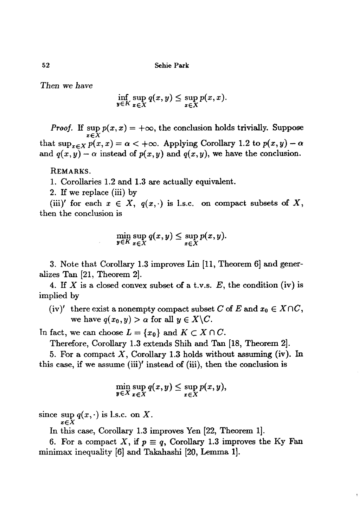*Tben we bave*

$$
\inf_{y\in K}\sup_{x\in X}q(x,y)\leq \sup_{x\in X}p(x,x).
$$

*Proof.* If  $\sup_{x \in X} p(x, x) = +\infty$ , the conclusion holds trivially. Suppose that  $\sup_{x \in X} p(x, x) = \alpha < +\infty$ . Applying Corollary 1.2 to  $p(x, y) - \alpha$ and  $q(x, y) - \alpha$  instead of  $p(x, y)$  and  $q(x, y)$ , we have the conclusion.

REMARKS.

1. Corollaries 1.2 and 1.3 are actually equivalent.

2. IT we replace (iii) by

(iii)' for each  $x \in X$ ,  $q(x, \cdot)$  is 1.s.c. on compact subsets of X, then the conclusion is

$$
\min_{\mathbf{y}\in K}\sup_{x\in X}q(x,y)\leq \sup_{x\in X}p(x,y).
$$

3. Note that Corollary 1.3 improves Lin [11, Theorem 6] and generalizes Tan [21, Theorem 2].

4. If X is a closed convex subset of a t.v.s.  $E$ , the condition (iv) is implied by

(iv)' there exist a nonempty compact subset C of E and  $x_0 \in X \cap C$ , we have  $q(x_0, y) > \alpha$  for all  $y \in X \backslash C$ .

In fact, we can choose  $L = \{x_0\}$  and  $K \subset X \cap C$ .

Therefore, Corollary 1.3 extends Shih and Tan [18, Theorem 2].

5. For a compact  $X$ , Corollary 1.3 holds without assuming (iv). In this case, if we assume (iii)' instead of (iii), then the conclusion is

$$
\min_{\boldsymbol{y}\in X}\sup_{\boldsymbol{x}\in X}q(\boldsymbol{x},\boldsymbol{y})\leq \sup_{\boldsymbol{x}\in X}p(\boldsymbol{x},\boldsymbol{y}),
$$

since  $\sup q(x, \cdot)$  is l.s.c. on X.  $x \in X$ 

In this *case,* Corollary 1.3 improves Yen [22, Theorem 1].

6. For a compact X, if  $p \equiv q$ , Corollary 1.3 improves the Ky Fan minimax inequality [6] and Takahashi [20, Lemma 1].

52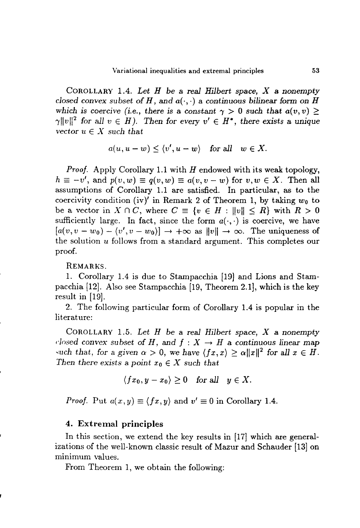COROLLARY 1.4. *Let H be* a *real Hilbert space, X* a *nonempty closed* convex subset of H, and  $a(\cdot, \cdot)$  a continuous bilinear form on H which is coercive (i.e., there is a constant  $\gamma > 0$  such that  $a(v, v) \ge$  $\gamma \|v\|^2$  *for all*  $v \in H$ ). Then *for every*  $v' \in H^*$ , *there exists* a *unique vector*  $u \in X$  *such that* 

$$
a(u, u - w) \le \langle v', u - w \rangle \quad \text{for all} \quad w \in X.
$$

*Proof.* Apply Corollary 1.1 with *H* endowed with its weak topology,  $h \equiv -v'$ , and  $p(v, w) \equiv q(v, w) \equiv a(v, v - w)$  for  $v, w \in X$ . Then all assumptions of Corollary 1.1 are satisfied. In particular, as to the coercivity condition (iv)' in Remark 2 of Theorem 1, by taking  $w_0$  to be a vector in  $X \cap C$ , where  $C \equiv \{v \in H : ||v|| \leq R\}$  with  $R > 0$ sufficiently large. In fact, since the form  $a(\cdot, \cdot)$  is coercive, we have  $[a(v, v - w_0) - (v', v - w_0)] \rightarrow +\infty$  as  $||v|| \rightarrow \infty$ . The uniqueness of the solution *u* follows from a standard argument. This completes our proof.

REMARKS.

1. Corollary 1.4 is due to Stampacchia [19] and Lions and Stampacchia [12]. Also see Stampacchia [19, Theorem 2.1], which is the key result in  $[19]$ .

2. The following particular form of Corollary 1.4 is popular in the literature:

COROLLARY 1.5. *Let H be* a *real Hilbert space, X* a *nonempty closed convex subset of H, and*  $f: X \rightarrow H$  *a continuous linear map* such that, for a given  $\alpha > 0$ , we have  $\langle fx, x \rangle \ge \alpha ||x||^2$  for all  $x \in H$ . *Then there exists* a *point*  $x_0 \in X$  *such that* 

$$
\langle fx_0, y - x_0 \rangle \ge 0 \quad \text{for all} \quad y \in X.
$$

*Proof.* Put  $a(x,y) \equiv \langle fx, y \rangle$  and  $v' \equiv 0$  in Corollary 1.4.

# 4. Extremal principles

In this section, we extend the key results in [17] which are generalizations of the well-known classic result of Mazur and Schauder [13] on minimum values.

From Theorem 1, we obtain the following: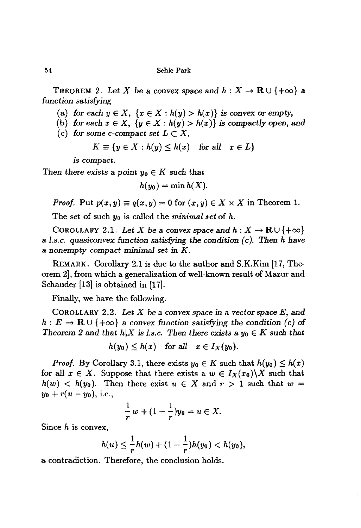THEOREM 2. Let X be a convex space and  $h: X \to \mathbf{R} \cup \{+\infty\}$  a *function satisfying*

(a) for each  $y \in X$ ,  $\{x \in X : h(y) > h(x)\}$  is convex or empty,

(b) for each  $x \in X$ ,  $\{y \in X : h(y) > h(x)\}$  *is compactly open, and* (c) for *some* c-compact *set*  $L \subset X$ .

$$
\sum_{n=1}^{\infty} \frac{1}{n} \sum_{n=1}^{\infty} \frac{1}{n} \sum_{n=1}^{\infty} \frac{1}{n} \sum_{n=1}^{\infty} \frac{1}{n} \sum_{n=1}^{\infty} \frac{1}{n} \sum_{n=1}^{\infty} \frac{1}{n} \sum_{n=1}^{\infty} \frac{1}{n} \sum_{n=1}^{\infty} \frac{1}{n} \sum_{n=1}^{\infty} \frac{1}{n} \sum_{n=1}^{\infty} \frac{1}{n} \sum_{n=1}^{\infty} \frac{1}{n} \sum_{n=1}^{\infty} \frac{1}{n} \sum_{n=1}^{\infty} \frac{1}{n} \sum_{n=1}^{\infty} \frac{1}{n} \sum_{n=1}^{\infty} \frac{1}{n} \sum_{n=1}^{\infty} \frac{1}{n} \sum_{n=1}^{\infty} \frac{1}{n} \sum_{n=1}^{\infty} \frac{1}{n} \sum_{n=1}^{\infty} \frac{1}{n} \sum_{n=1}^{\infty} \frac{1}{n} \sum_{n=1}^{\infty} \frac{1}{n} \sum_{n=1}^{\infty} \frac{1}{n} \sum_{n=1}^{\infty} \frac{1}{n} \sum_{n=1}^{\infty} \frac{1}{n} \sum_{n=1}^{\infty} \frac{1}{n} \sum_{n=1}^{\infty} \frac{1}{n} \sum_{n=1}^{\infty} \frac{1}{n} \sum_{n=1}^{\infty} \frac{1}{n} \sum_{n=1}^{\infty} \frac{1}{n} \sum_{n=1}^{\infty} \frac{1}{n} \sum_{n=1}^{\infty} \frac{1}{n} \sum_{n=1}^{\infty} \frac{1}{n} \sum_{n=1}^{\infty} \frac{1}{n} \sum_{n=1}^{\infty} \frac{1}{n} \sum_{n=1}^{\infty} \frac{1}{n} \sum_{n=1}^{\infty} \frac{1}{n} \sum_{n=1}^{\infty} \frac{1}{n} \sum_{n=1}^{\infty} \frac{1}{n} \sum_{n=1}^{\infty} \frac{1}{n} \sum_{n=1}^{\infty} \frac{1}{n}
$$

$$
K \equiv \{ y \in X : h(y) \le h(x) \quad \text{for all} \quad x \in L \}
$$

is compact.

Then there exists a point  $y_0 \in K$  such that

$$
h(y_0)=\min h(X).
$$

*Proof.* Put  $p(x, y) \equiv q(x, y) = 0$  for  $(x, y) \in X \times X$  in Theorem 1.

The set of such yo is called the *minimal set* of *h.*

COROLLARY 2.1. Let *X* be a convex space and  $h: X \to \mathbf{R} \cup \{+\infty\}$ a *l.s.c. quasiconvex function satisfying the condition (c). Then h have* a *nonempty* compact *minimal set in K.*

REMARK. Corollary 2.1 is due to the author and S.K.Kim [17, Theorem 2], from which a generalization of well-known result of Mazur and Schauder [13] is obtained in [17].

Finally, we have the following.

COROLLARY 2.2. Let *X be* a *convex space in* a *vector*space E, and  $h: E \to \mathbf{R} \cup \{+\infty\}$  a convex function satisfying the condition (c) of *Theorem* 2 and *that*  $h|X$  *is l.s.c.* Then *there exists* a  $y_0 \in K$  *such that* 

$$
h(y_0)\leq h(x) \quad \text{for all} \quad x\in I_X(y_0).
$$

*Proof.* By Corollary 3.1, there exists  $y_0 \in K$  such that  $h(y_0) \leq h(x)$ for all  $x \in X$ . Suppose that there exists a  $w \in I_X(x_0) \backslash X$  such that  $h(w)$  <  $h(y_0)$ . Then there exist  $u \in X$  and  $r > 1$  such that  $w =$  $y_0 + r(u - y_0)$ , i.e.,

$$
\frac{1}{r}w+(1-\frac{1}{r})y_0=u\in X.
$$

Since  $h$  is convex,

$$
h(u) \leq \frac{1}{r}h(w) + (1 - \frac{1}{r})h(y_0) < h(y_0),
$$

a contradiction. Therefore, the conclusion holds.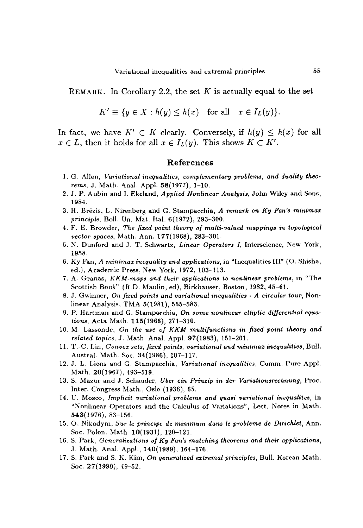REMARK. In Corollary 2.2, the set *K* is actually equal to the set

$$
K' \equiv \{ y \in X : h(y) \leq h(x) \text{ for all } x \in I_L(y) \}.
$$

In fact, we have  $K' \subset K$  clearly. Conversely, if  $h(y) \leq h(x)$  for all  $x \in L$ , then it holds for all  $x \in I_L(y)$ . This shows  $K \subset K'$ .

### References

- 1. G. AlIen, *Variational inequalities, complementary problems, and duality theorems,* J. Math. Anal. Appl. 58(1977), 1-10.
- 2. J. P. A ubin and I. Ekeland, *Applied Nonlinear Analysis,* John Wiley and Sons, 1984.
- 3. H. Brezis, L. Nirenberg and G. Stampacchia, *A remark on Ky Fan's minimax principle,* BoIl. Un. Mat. Ital. 6(1972), 293-300.
- 4. F. E. Browder, *The fixed point theory 0/ multi-valued mappings in topological vector spaces,* Math. Ann. 177(1968), 283-301.
- 5. N. Dunford and J. T. Schwartz, *Linear Operators I,* Interscience, New York, 1958.
- 6. Ky Fan, *A 7ninimax inequality and applications,* in "Inequalities Ill" (0. Shisha, ed.), Academic Press, New York, 1972, 103-113.
- 7. A. Granas, *KKM-maps and their applications to nonlinear problems,* in "The Scottish Book" (R.D. Maulin, ed), Birkhauser, Boston, 1982, 45-61.
- 8. J. Gwinner, *On fixed points and variational inequalities A circular tour,* Nonlinear Analysis, TMA 5(1981), 565-583.
- 9. P. Hartman and G. Stampacchia, *On some nonlinear elliptic differential equations,* Acta Math. 115(1966), 271-310.
- 10. M. Lassonde, *On the use 0/ KKM multi/unctions in fixed point theory and related topics,* J. Math. Anal. Appl. 97(1983), 151-201.
- 11. T *.-C.* Lin, *Convex sets, fixed points, variational and minimax inequalities,* Bull. Austral. Math. Soc. 34(1986), 107-117.
- 12. J. L. Lions and G. Stampacchia, *Variational inequalities,* Comm. Pure Appl. Math. 20(1967), 493-519.
- 13. S. Mazur and J. Schauder, *Uber ein Prinzip in der Variationsrechnung,* Proc. Inter. Congress Math., Oslo (1936), 65.
- 14. U. Mosco, *Implicit variational problems and quasi variational inequalites,* in "Nonlinear Operators and the Calculus of Variations", Lect. Notes in Math. 543(1976),83-156.
- 15. O. Nikodym, *Sur le principe de minimum dans le probleme de Dirichlet,* Ann. Soc. Polon. Math. 10(1931), 120-121.
- 16. S. Park, *Generalizations 0/ Ky Fan's matching theorems and their applications,* J. Math. Anal. Appl., 140(1989),164-176.
- 17. S. Park and S. K. Kim, *On generalized extremal principles,* Bull. Korean Math. Soc. 27(1990), 49-52.